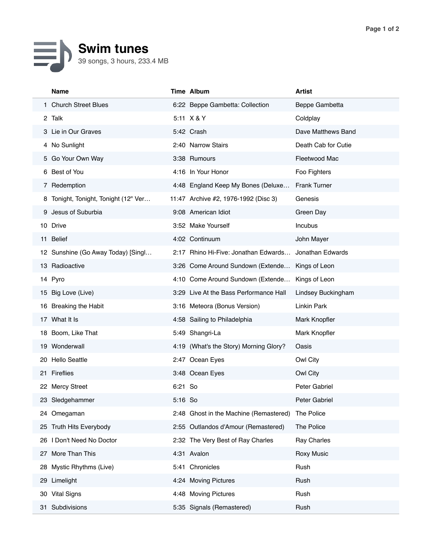## 目 **Swim tunes** 39 songs, 3 hours, 233.4 MB

|    | Name                                 |         | Time Album                             | <b>Artist</b>       |
|----|--------------------------------------|---------|----------------------------------------|---------------------|
|    | 1 Church Street Blues                |         | 6:22 Beppe Gambetta: Collection        | Beppe Gambetta      |
|    | 2 Talk                               |         | 5:11 X & Y                             | Coldplay            |
|    | 3 Lie in Our Graves                  |         | 5:42 Crash                             | Dave Matthews Band  |
|    | 4 No Sunlight                        |         | 2:40 Narrow Stairs                     | Death Cab for Cutie |
|    | 5 Go Your Own Way                    |         | 3:38 Rumours                           | Fleetwood Mac       |
|    | 6 Best of You                        |         | 4:16 In Your Honor                     | Foo Fighters        |
|    | 7 Redemption                         |         | 4:48 England Keep My Bones (Deluxe     | <b>Frank Turner</b> |
|    | 8 Tonight, Tonight, Tonight (12" Ver |         | 11:47 Archive #2, 1976-1992 (Disc 3)   | Genesis             |
|    | 9 Jesus of Suburbia                  |         | 9:08 American Idiot                    | Green Day           |
|    | 10 Drive                             |         | 3:52 Make Yourself                     | Incubus             |
|    | 11 Belief                            |         | 4:02 Continuum                         | John Mayer          |
|    | 12 Sunshine (Go Away Today) [Singl   |         | 2:17 Rhino Hi-Five: Jonathan Edwards   | Jonathan Edwards    |
|    | 13 Radioactive                       |         | 3:26 Come Around Sundown (Extende      | Kings of Leon       |
|    | 14 Pyro                              |         | 4:10 Come Around Sundown (Extende      | Kings of Leon       |
|    | 15 Big Love (Live)                   |         | 3:29 Live At the Bass Performance Hall | Lindsey Buckingham  |
|    | 16 Breaking the Habit                |         | 3:16 Meteora (Bonus Version)           | Linkin Park         |
|    | 17 What It Is                        |         | 4:58 Sailing to Philadelphia           | Mark Knopfler       |
|    | 18 Boom, Like That                   |         | 5:49 Shangri-La                        | Mark Knopfler       |
|    | 19 Wonderwall                        |         | 4:19 (What's the Story) Morning Glory? | Oasis               |
| 20 | <b>Hello Seattle</b>                 |         | 2:47 Ocean Eyes                        | Owl City            |
|    | 21 Fireflies                         |         | 3:48 Ocean Eyes                        | Owl City            |
|    | 22 Mercy Street                      | 6:21 So |                                        | Peter Gabriel       |
|    | 23 Sledgehammer                      | 5:16 So |                                        | Peter Gabriel       |
|    | 24 Omegaman                          |         | 2:48 Ghost in the Machine (Remastered) | The Police          |
|    | 25 Truth Hits Everybody              |         | 2:55 Outlandos d'Amour (Remastered)    | The Police          |
| 26 | I Don't Need No Doctor               |         | 2:32 The Very Best of Ray Charles      | Ray Charles         |
| 27 | More Than This                       |         | 4:31 Avalon                            | <b>Roxy Music</b>   |
| 28 | Mystic Rhythms (Live)                |         | 5:41 Chronicles                        | Rush                |
| 29 | Limelight                            |         | 4:24 Moving Pictures                   | Rush                |
|    | 30 Vital Signs                       |         | 4:48 Moving Pictures                   | Rush                |
| 31 | Subdivisions                         |         | 5:35 Signals (Remastered)              | Rush                |